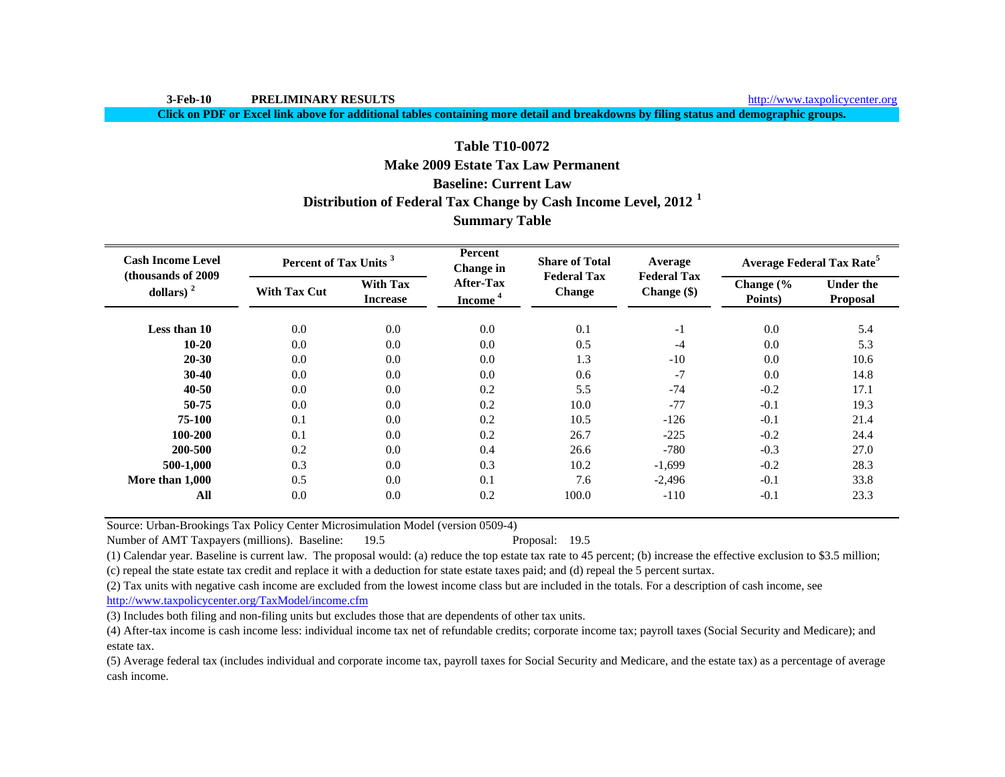**3-Feb-10 PRELIMINARY RESULTS**

http://www.taxpolicycenter.org

**Click on PDF or Excel link above for additional tables containing more detail and breakdowns by filing status and demographic groups.**

# **Baseline: Current LawDistribution of Federal Tax Change by Cash Income Level, 2012 <sup>1</sup> Table T10-0072Make 2009 Estate Tax Law PermanentSummary Table**

| <b>Cash Income Level</b><br>(thousands of 2009) | Percent of Tax Units <sup>3</sup> |                                    | Percent<br>Change in                    | <b>Share of Total</b><br><b>Federal Tax</b> | Average<br><b>Federal Tax</b> |                                 | <b>Average Federal Tax Rate<sup>5</sup></b> |
|-------------------------------------------------|-----------------------------------|------------------------------------|-----------------------------------------|---------------------------------------------|-------------------------------|---------------------------------|---------------------------------------------|
| dollars) $2$                                    | <b>With Tax Cut</b>               | <b>With Tax</b><br><b>Increase</b> | <b>After-Tax</b><br>Income <sup>4</sup> | <b>Change</b>                               | Change (\$)                   | Change $\frac{6}{6}$<br>Points) | <b>Under the</b><br><b>Proposal</b>         |
| Less than 10                                    | 0.0                               | 0.0                                | 0.0                                     | 0.1                                         | $-1$                          | 0.0                             | 5.4                                         |
| $10 - 20$                                       | 0.0                               | 0.0                                | 0.0                                     | 0.5                                         | $-4$                          | 0.0                             | 5.3                                         |
| 20-30                                           | 0.0                               | 0.0                                | 0.0                                     | 1.3                                         | $-10$                         | 0.0                             | 10.6                                        |
| $30 - 40$                                       | 0.0                               | 0.0                                | 0.0                                     | 0.6                                         | $-7$                          | 0.0                             | 14.8                                        |
| 40-50                                           | 0.0                               | 0.0                                | 0.2                                     | 5.5                                         | $-74$                         | $-0.2$                          | 17.1                                        |
| 50-75                                           | 0.0                               | 0.0                                | 0.2                                     | 10.0                                        | $-77$                         | $-0.1$                          | 19.3                                        |
| 75-100                                          | 0.1                               | 0.0                                | 0.2                                     | 10.5                                        | $-126$                        | $-0.1$                          | 21.4                                        |
| 100-200                                         | 0.1                               | 0.0                                | 0.2                                     | 26.7                                        | $-225$                        | $-0.2$                          | 24.4                                        |
| 200-500                                         | 0.2                               | 0.0                                | 0.4                                     | 26.6                                        | $-780$                        | $-0.3$                          | 27.0                                        |
| 500-1,000                                       | 0.3                               | 0.0                                | 0.3                                     | 10.2                                        | $-1,699$                      | $-0.2$                          | 28.3                                        |
| More than 1,000                                 | 0.5                               | 0.0                                | 0.1                                     | 7.6                                         | $-2,496$                      | $-0.1$                          | 33.8                                        |
| All                                             | 0.0                               | 0.0                                | 0.2                                     | 100.0                                       | $-110$                        | $-0.1$                          | 23.3                                        |

Source: Urban-Brookings Tax Policy Center Microsimulation Model (version 0509-4)

Number of AMT Taxpayers (millions). Baseline: 19.5 Proposal: 19.5

(1) Calendar year. Baseline is current law. The proposal would: (a) reduce the top estate tax rate to 45 percent; (b) increase the effective exclusion to \$3.5 million; (c) repeal the state estate tax credit and replace it with a deduction for state estate taxes paid; and (d) repeal the 5 percent surtax.

(2) Tax units with negative cash income are excluded from the lowest income class but are included in the totals. For a description of cash income, see

http://www.taxpolicycenter.org/TaxModel/income.cfm

(3) Includes both filing and non-filing units but excludes those that are dependents of other tax units.

(4) After-tax income is cash income less: individual income tax net of refundable credits; corporate income tax; payroll taxes (Social Security and Medicare); and estate tax.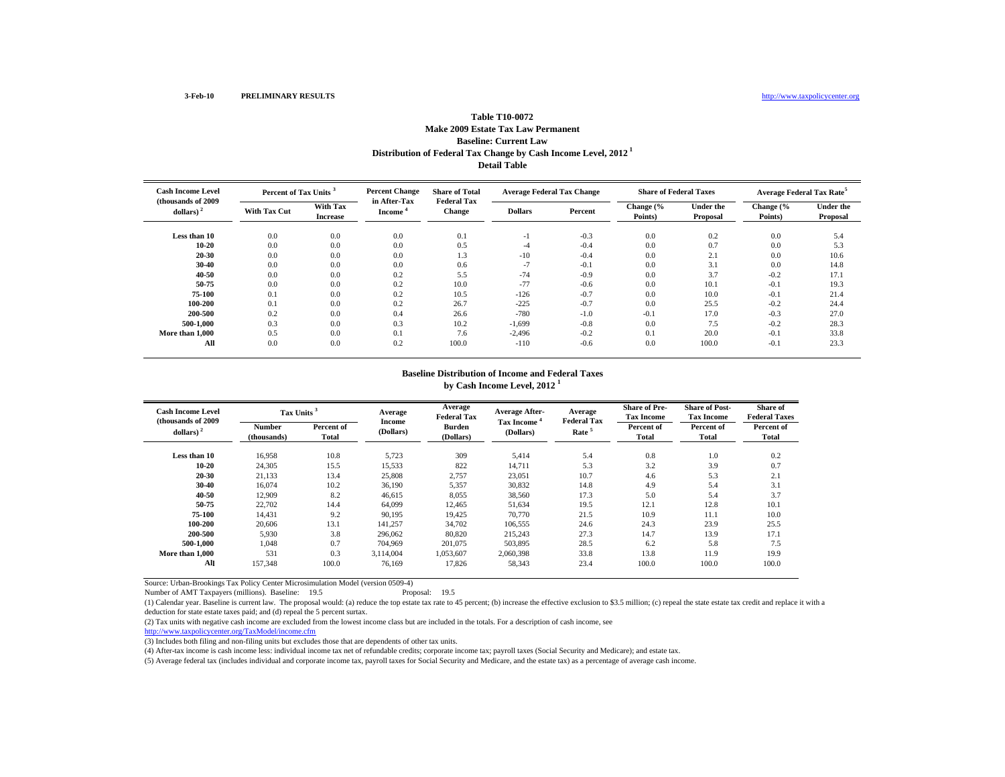# **Distribution of Federal Tax Change by Cash Income Level, 2012 1 Detail Table Table T10-0072Make 2009 Estate Tax Law Permanent Baseline: Current Law**

| <b>Cash Income Level</b><br>(thousands of 2009) |                     | <b>Percent Change</b><br>Percent of Tax Units <sup>3</sup> |                                     | <b>Share of Total</b><br><b>Federal Tax</b> | <b>Average Federal Tax Change</b> |         | <b>Share of Federal Taxes</b> |                              | <b>Average Federal Tax Rate<sup>5</sup></b> |                              |
|-------------------------------------------------|---------------------|------------------------------------------------------------|-------------------------------------|---------------------------------------------|-----------------------------------|---------|-------------------------------|------------------------------|---------------------------------------------|------------------------------|
| dollars) $2$                                    | <b>With Tax Cut</b> | <b>With Tax</b><br><b>Increase</b>                         | in After-Tax<br>Income <sup>®</sup> | <b>Change</b>                               | <b>Dollars</b>                    | Percent | Change (%<br>Points)          | <b>Under the</b><br>Proposal | Change (%<br>Points)                        | <b>Under the</b><br>Proposal |
| Less than 10                                    | 0.0                 | 0.0                                                        | 0.0                                 | 0.1                                         | -1                                | $-0.3$  | 0.0                           | 0.2                          | 0.0                                         | 5.4                          |
| $10 - 20$                                       | 0.0                 | 0.0                                                        | 0.0                                 | 0.5                                         | -4                                | $-0.4$  | 0.0                           | 0.7                          | 0.0                                         | 5.3                          |
| 20-30                                           | 0.0                 | 0.0                                                        | 0.0                                 | 1.3                                         | $-10$                             | $-0.4$  | 0.0                           | 2.1                          | 0.0                                         | 10.6                         |
| 30-40                                           | 0.0                 | 0.0                                                        | 0.0                                 | 0.6                                         | $-7$                              | $-0.1$  | 0.0                           | 3.1                          | 0.0                                         | 14.8                         |
| 40-50                                           | 0.0                 | 0.0                                                        | 0.2                                 | 5.5                                         | $-74$                             | $-0.9$  | 0.0                           | 3.7                          | $-0.2$                                      | 17.1                         |
| 50-75                                           | 0.0                 | 0.0                                                        | 0.2                                 | 10.0                                        | $-77$                             | $-0.6$  | 0.0                           | 10.1                         | $-0.1$                                      | 19.3                         |
| 75-100                                          | 0.1                 | 0.0                                                        | 0.2                                 | 10.5                                        | $-126$                            | $-0.7$  | 0.0                           | 10.0                         | $-0.1$                                      | 21.4                         |
| 100-200                                         | 0.1                 | 0.0                                                        | 0.2                                 | 26.7                                        | $-225$                            | $-0.7$  | 0.0                           | 25.5                         | $-0.2$                                      | 24.4                         |
| 200-500                                         | 0.2                 | 0.0                                                        | 0.4                                 | 26.6                                        | $-780$                            | $-1.0$  | $-0.1$                        | 17.0                         | $-0.3$                                      | 27.0                         |
| 500-1.000                                       | 0.3                 | 0.0                                                        | 0.3                                 | 10.2                                        | $-1,699$                          | $-0.8$  | 0.0                           | 7.5                          | $-0.2$                                      | 28.3                         |
| More than 1,000                                 | 0.5                 | 0.0                                                        | 0.1                                 | 7.6                                         | $-2,496$                          | $-0.2$  | 0.1                           | 20.0                         | $-0.1$                                      | 33.8                         |
| All                                             | 0.0                 | 0.0                                                        | 0.2                                 | 100.0                                       | $-110$                            | $-0.6$  | 0.0                           | 100.0                        | $-0.1$                                      | 23.3                         |

#### **Baseline Distribution of Income and Federal Taxes by Cash Income Level, 2012 <sup>1</sup>**

| <b>Cash Income Level</b><br>(thousands of 2009) | Tax Units <sup>3</sup>       |                     | Average<br><b>Income</b> | Average<br><b>Federal Tax</b> | <b>Average After-</b><br>Tax Income | Average<br><b>Federal Tax</b> | <b>Share of Pre-</b><br><b>Tax Income</b> | <b>Share of Post-</b><br><b>Tax Income</b> | <b>Share of</b><br><b>Federal Taxes</b> |
|-------------------------------------------------|------------------------------|---------------------|--------------------------|-------------------------------|-------------------------------------|-------------------------------|-------------------------------------------|--------------------------------------------|-----------------------------------------|
| dollars) $2$                                    | <b>Number</b><br>(thousands) | Percent of<br>Total | (Dollars)                | Burden<br>(Dollars)           | (Dollars)                           | Rate <sup>5</sup>             | Percent of<br>Total                       | Percent of<br>Total                        | Percent of<br>Total                     |
| Less than 10                                    | 16,958                       | 10.8                | 5,723                    | 309                           | 5,414                               | 5.4                           | 0.8                                       | 1.0                                        | 0.2                                     |
| $10 - 20$                                       | 24,305                       | 15.5                | 15,533                   | 822                           | 14,711                              | 5.3                           | 3.2                                       | 3.9                                        | 0.7                                     |
| 20-30                                           | 21,133                       | 13.4                | 25,808                   | 2,757                         | 23,051                              | 10.7                          | 4.6                                       | 5.3                                        | 2.1                                     |
| 30-40                                           | 16,074                       | 10.2                | 36,190                   | 5,357                         | 30,832                              | 14.8                          | 4.9                                       | 5.4                                        | 3.1                                     |
| 40-50                                           | 12,909                       | 8.2                 | 46,615                   | 8,055                         | 38,560                              | 17.3                          | 5.0                                       | 5.4                                        | 3.7                                     |
| 50-75                                           | 22,702                       | 14.4                | 64,099                   | 12,465                        | 51,634                              | 19.5                          | 12.1                                      | 12.8                                       | 10.1                                    |
| 75-100                                          | 14,431                       | 9.2                 | 90,195                   | 19,425                        | 70,770                              | 21.5                          | 10.9                                      | 11.1                                       | 10.0                                    |
| 100-200                                         | 20,606                       | 13.1                | 141,257                  | 34,702                        | 106,555                             | 24.6                          | 24.3                                      | 23.9                                       | 25.5                                    |
| 200-500                                         | 5,930                        | 3.8                 | 296,062                  | 80,820                        | 215,243                             | 27.3                          | 14.7                                      | 13.9                                       | 17.1                                    |
| 500-1.000                                       | 1.048                        | 0.7                 | 704.969                  | 201.075                       | 503,895                             | 28.5                          | 6.2                                       | 5.8                                        | 7.5                                     |
| More than 1.000                                 | 531                          | 0.3                 | 3.114.004                | 1.053.607                     | 2.060.398                           | 33.8                          | 13.8                                      | 11.9                                       | 19.9                                    |
| All                                             | 157,348                      | 100.0               | 76.169                   | 17,826                        | 58,343                              | 23.4                          | 100.0                                     | 100.0                                      | 100.0                                   |

Source: Urban-Brookings Tax Policy Center Microsimulation Model (version 0509-4)

Number of AMT Taxpayers (millions). Baseline: 19.5

(1) Calendar year. Baseline is current law. The proposal would: (a) reduce the top estate tax rate to 45 percent; (b) increase the effective exclusion to \$3.5 million; (c) repeal the state estate tax credit and replace it deduction for state estate taxes paid; and (d) repeal the 5 percent surtax.

(2) Tax units with negative cash income are excluded from the lowest income class but are included in the totals. For a description of cash income, see

http://www.taxpolicycenter.org/TaxModel/income.cfm

(3) Includes both filing and non-filing units but excludes those that are dependents of other tax units.

(4) After-tax income is cash income less: individual income tax net of refundable credits; corporate income tax; payroll taxes (Social Security and Medicare); and estate tax.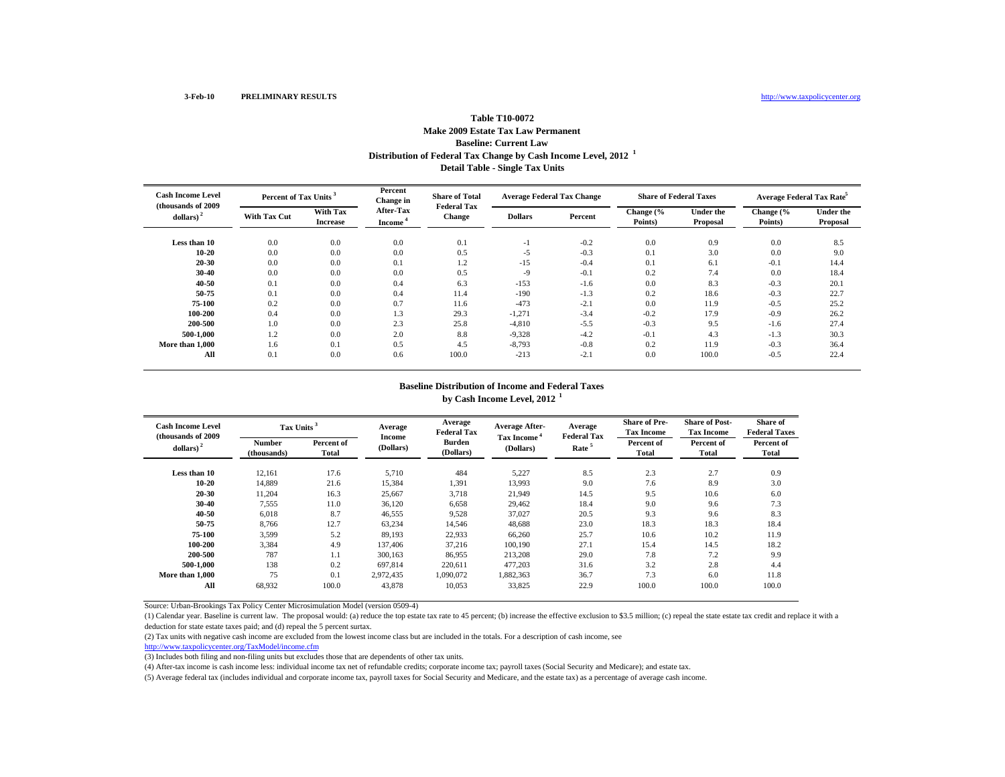## **Distribution of Federal Tax Change by Cash Income Level, 2012 <sup>1</sup> Detail Table - Single Tax Units Table T10-0072Make 2009 Estate Tax Law Permanent Baseline: Current Law**

| <b>Cash Income Level</b><br>(thousands of 2009) |                     | Percent of Tax Units <sup>3</sup> |                                         | <b>Share of Total</b><br><b>Federal Tax</b> | <b>Average Federal Tax Change</b> |         | <b>Share of Federal Taxes</b> |                              | Average Federal Tax Rate <sup>5</sup> |                              |
|-------------------------------------------------|---------------------|-----------------------------------|-----------------------------------------|---------------------------------------------|-----------------------------------|---------|-------------------------------|------------------------------|---------------------------------------|------------------------------|
| dollars) $^{2}$                                 | <b>With Tax Cut</b> | With Tax<br><b>Increase</b>       | <b>After-Tax</b><br>Income <sup>®</sup> | <b>Change</b>                               | <b>Dollars</b>                    | Percent | Change (%<br>Points)          | <b>Under the</b><br>Proposal | Change (%<br>Points)                  | <b>Under the</b><br>Proposal |
| Less than 10                                    | 0.0                 | 0.0                               | 0.0                                     | 0.1                                         | - 1                               | $-0.2$  | 0.0                           | 0.9                          | 0.0                                   | 8.5                          |
| $10 - 20$                                       | 0.0                 | 0.0                               | 0.0                                     | 0.5                                         | $-5$                              | $-0.3$  | 0.1                           | 3.0                          | 0.0                                   | 9.0                          |
| $20 - 30$                                       | 0.0                 | 0.0                               | 0.1                                     | 1.2                                         | $-15$                             | $-0.4$  | 0.1                           | 6.1                          | $-0.1$                                | 14.4                         |
| $30 - 40$                                       | 0.0                 | 0.0                               | 0.0                                     | 0.5                                         | $-9$                              | $-0.1$  | 0.2                           | 7.4                          | 0.0                                   | 18.4                         |
| 40-50                                           | 0.1                 | 0.0                               | 0.4                                     | 6.3                                         | $-153$                            | $-1.6$  | 0.0                           | 8.3                          | $-0.3$                                | 20.1                         |
| 50-75                                           | 0.1                 | 0.0                               | 0.4                                     | 11.4                                        | $-190$                            | $-1.3$  | 0.2                           | 18.6                         | $-0.3$                                | 22.7                         |
| 75-100                                          | 0.2                 | 0.0                               | 0.7                                     | 11.6                                        | $-473$                            | $-2.1$  | 0.0                           | 11.9                         | $-0.5$                                | 25.2                         |
| 100-200                                         | 0.4                 | 0.0                               | 1.3                                     | 29.3                                        | $-1,271$                          | $-3.4$  | $-0.2$                        | 17.9                         | $-0.9$                                | 26.2                         |
| 200-500                                         | 1.0                 | 0.0                               | 2.3                                     | 25.8                                        | $-4,810$                          | $-5.5$  | $-0.3$                        | 9.5                          | $-1.6$                                | 27.4                         |
| 500-1.000                                       | 1.2                 | 0.0                               | 2.0                                     | 8.8                                         | $-9,328$                          | $-4.2$  | $-0.1$                        | 4.3                          | $-1.3$                                | 30.3                         |
| More than 1,000                                 | 1.6                 | 0.1                               | 0.5                                     | 4.5                                         | $-8,793$                          | $-0.8$  | 0.2                           | 11.9                         | $-0.3$                                | 36.4                         |
| All                                             | 0.1                 | 0.0                               | 0.6                                     | 100.0                                       | $-213$                            | $-2.1$  | 0.0                           | 100.0                        | $-0.5$                                | 22.4                         |

#### **Baseline Distribution of Income and Federal Taxes by Cash Income Level, 2012 <sup>1</sup>**

| <b>Cash Income Level</b><br>(thousands of 2009) |                              | Tax Units <sup>3</sup> |                            | Average<br><b>Federal Tax</b> | <b>Average After-</b>                | Average<br><b>Federal Tax</b> | <b>Share of Pre-</b><br><b>Tax Income</b> | <b>Share of Post-</b><br><b>Tax Income</b> | Share of<br><b>Federal Taxes</b> |
|-------------------------------------------------|------------------------------|------------------------|----------------------------|-------------------------------|--------------------------------------|-------------------------------|-------------------------------------------|--------------------------------------------|----------------------------------|
| dollars) $2$                                    | <b>Number</b><br>(thousands) | Percent of<br>Total    | <b>Income</b><br>(Dollars) | <b>Burden</b><br>(Dollars)    | Tax Income <sup>4</sup><br>(Dollars) | Rate <sup>5</sup>             | Percent of<br>Total                       | Percent of<br>Total                        | Percent of<br>Total              |
| Less than 10                                    | 12,161                       | 17.6                   | 5,710                      | 484                           | 5,227                                | 8.5                           | 2.3                                       | 2.7                                        | 0.9                              |
| 10-20                                           | 14.889                       | 21.6                   | 15,384                     | 1,391                         | 13,993                               | 9.0                           | 7.6                                       | 8.9                                        | 3.0                              |
| $20 - 30$                                       | 11,204                       | 16.3                   | 25,667                     | 3,718                         | 21,949                               | 14.5                          | 9.5                                       | 10.6                                       | 6.0                              |
| $30 - 40$                                       | 7,555                        | 11.0                   | 36,120                     | 6,658                         | 29,462                               | 18.4                          | 9.0                                       | 9.6                                        | 7.3                              |
| $40 - 50$                                       | 6,018                        | 8.7                    | 46,555                     | 9,528                         | 37,027                               | 20.5                          | 9.3                                       | 9.6                                        | 8.3                              |
| 50-75                                           | 8.766                        | 12.7                   | 63,234                     | 14.546                        | 48.688                               | 23.0                          | 18.3                                      | 18.3                                       | 18.4                             |
| 75-100                                          | 3,599                        | 5.2                    | 89,193                     | 22,933                        | 66,260                               | 25.7                          | 10.6                                      | 10.2                                       | 11.9                             |
| 100-200                                         | 3,384                        | 4.9                    | 137,406                    | 37,216                        | 100,190                              | 27.1                          | 15.4                                      | 14.5                                       | 18.2                             |
| 200-500                                         | 787                          | 1.1                    | 300,163                    | 86,955                        | 213,208                              | 29.0                          | 7.8                                       | 7.2                                        | 9.9                              |
| 500-1.000                                       | 138                          | 0.2                    | 697,814                    | 220.611                       | 477.203                              | 31.6                          | 3.2                                       | 2.8                                        | 4.4                              |
| More than 1.000                                 | 75                           | 0.1                    | 2.972.435                  | 1.090.072                     | 1,882,363                            | 36.7                          | 7.3                                       | 6.0                                        | 11.8                             |
| All                                             | 68.932                       | 100.0                  | 43,878                     | 10.053                        | 33,825                               | 22.9                          | 100.0                                     | 100.0                                      | 100.0                            |

Source: Urban-Brookings Tax Policy Center Microsimulation Model (version 0509-4)

(1) Calendar year. Baseline is current law. The proposal would: (a) reduce the top estate tax rate to 45 percent; (b) increase the effective exclusion to \$3.5 million; (c) repeal the state estate tax credit and replace it deduction for state estate taxes paid; and (d) repeal the 5 percent surtax.

(2) Tax units with negative cash income are excluded from the lowest income class but are included in the totals. For a description of cash income, see

http://www.taxpolicycenter.org/TaxModel/income.cfm

(3) Includes both filing and non-filing units but excludes those that are dependents of other tax units.

(4) After-tax income is cash income less: individual income tax net of refundable credits; corporate income tax; payroll taxes (Social Security and Medicare); and estate tax.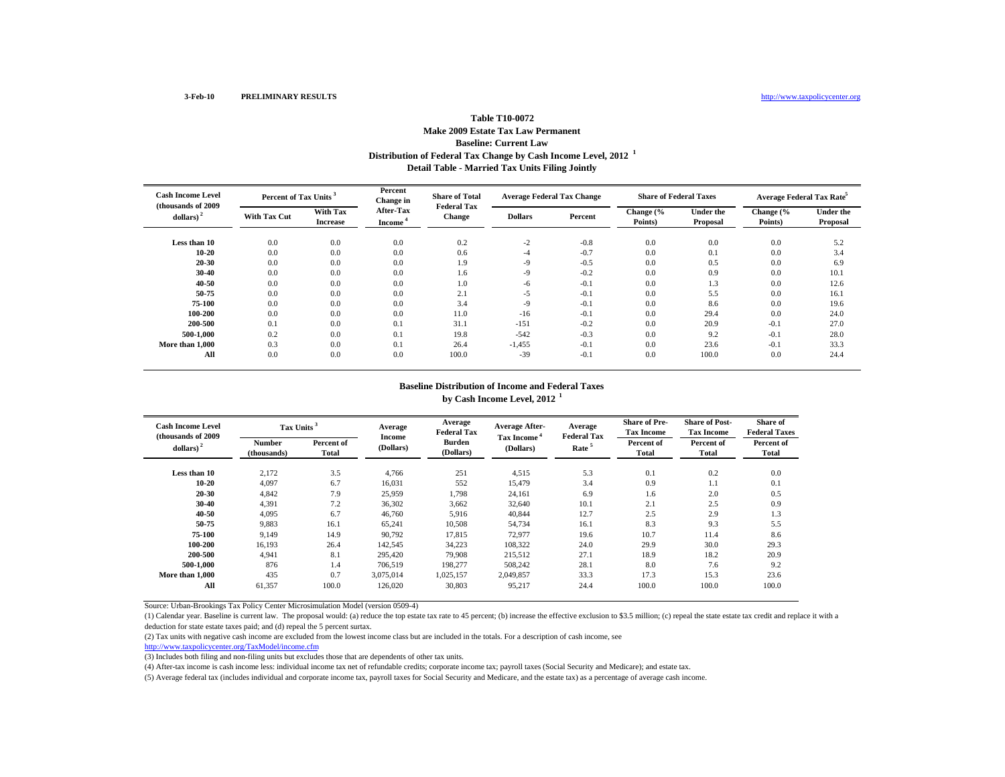## **Distribution of Federal Tax Change by Cash Income Level, 2012 <sup>1</sup> Detail Table - Married Tax Units Filing Jointly Table T10-0072Make 2009 Estate Tax Law Permanent Baseline: Current Law**

| <b>Cash Income Level</b><br>(thousands of 2009) |              | Percent of Tax Units <sup>3</sup> |                                         | <b>Share of Total</b><br><b>Federal Tax</b> | <b>Average Federal Tax Change</b> |         | <b>Share of Federal Taxes</b> |                              | Average Federal Tax Rate <sup>5</sup> |                              |
|-------------------------------------------------|--------------|-----------------------------------|-----------------------------------------|---------------------------------------------|-----------------------------------|---------|-------------------------------|------------------------------|---------------------------------------|------------------------------|
| dollars) $^{2}$                                 | With Tax Cut | With Tax<br><b>Increase</b>       | <b>After-Tax</b><br>Income <sup>-</sup> | Change                                      | <b>Dollars</b>                    | Percent | Change (%<br>Points)          | <b>Under the</b><br>Proposal | Change (%<br>Points)                  | <b>Under the</b><br>Proposal |
| Less than 10                                    | 0.0          | 0.0                               | 0.0                                     | 0.2                                         | $-2$                              | $-0.8$  | 0.0                           | 0.0                          | 0.0                                   | 5.2                          |
| $10 - 20$                                       | 0.0          | 0.0                               | 0.0                                     | 0.6                                         | -4                                | $-0.7$  | 0.0                           | 0.1                          | 0.0                                   | 3.4                          |
| $20 - 30$                                       | 0.0          | 0.0                               | 0.0                                     | 1.9                                         | $-9$                              | $-0.5$  | 0.0                           | 0.5                          | 0.0                                   | 6.9                          |
| $30 - 40$                                       | 0.0          | 0.0                               | 0.0                                     | 1.6                                         | -9                                | $-0.2$  | 0.0                           | 0.9                          | 0.0                                   | 10.1                         |
| $40 - 50$                                       | 0.0          | 0.0                               | 0.0                                     | 1.0                                         | -6                                | $-0.1$  | 0.0                           | 1.3                          | 0.0                                   | 12.6                         |
| 50-75                                           | 0.0          | 0.0                               | 0.0                                     | 2.1                                         | $-5$                              | $-0.1$  | 0.0                           | 5.5                          | 0.0                                   | 16.1                         |
| 75-100                                          | 0.0          | 0.0                               | 0.0                                     | 3.4                                         | $-9$                              | $-0.1$  | 0.0                           | 8.6                          | 0.0                                   | 19.6                         |
| 100-200                                         | 0.0          | 0.0                               | 0.0                                     | 11.0                                        | $-16$                             | $-0.1$  | 0.0                           | 29.4                         | 0.0                                   | 24.0                         |
| 200-500                                         | 0.1          | 0.0                               | 0.1                                     | 31.1                                        | $-151$                            | $-0.2$  | 0.0                           | 20.9                         | $-0.1$                                | 27.0                         |
| 500-1.000                                       | 0.2          | 0.0                               | 0.1                                     | 19.8                                        | $-542$                            | $-0.3$  | 0.0                           | 9.2                          | $-0.1$                                | 28.0                         |
| More than 1,000                                 | 0.3          | 0.0                               | 0.1                                     | 26.4                                        | $-1,455$                          | $-0.1$  | 0.0                           | 23.6                         | $-0.1$                                | 33.3                         |
| All                                             | 0.0          | 0.0                               | 0.0                                     | 100.0                                       | $-39$                             | $-0.1$  | 0.0                           | 100.0                        | 0.0                                   | 24.4                         |

#### **Baseline Distribution of Income and Federal Taxes by Cash Income Level, 2012 <sup>1</sup>**

| <b>Cash Income Level</b><br>(thousands of 2009) | Tax Units <sup>3</sup>       |                     | Average             | Average<br><b>Federal Tax</b> | <b>Average After-</b>                | Average<br><b>Federal Tax</b> | <b>Share of Pre-</b><br><b>Tax Income</b> | <b>Share of Post-</b><br><b>Tax Income</b> | Share of<br><b>Federal Taxes</b> |
|-------------------------------------------------|------------------------------|---------------------|---------------------|-------------------------------|--------------------------------------|-------------------------------|-------------------------------------------|--------------------------------------------|----------------------------------|
| dollars) $2$                                    | <b>Number</b><br>(thousands) | Percent of<br>Total | Income<br>(Dollars) | <b>Burden</b><br>(Dollars)    | Tax Income <sup>*</sup><br>(Dollars) | Rate <sup>5</sup>             | Percent of<br>Total                       | Percent of<br>Total                        | Percent of<br><b>Total</b>       |
| Less than 10                                    | 2,172                        | 3.5                 | 4,766               | 251                           | 4,515                                | 5.3                           | 0.1                                       | 0.2                                        | 0.0                              |
| 10-20                                           | 4,097                        | 6.7                 | 16,031              | 552                           | 15,479                               | 3.4                           | 0.9                                       | 1.1                                        | 0.1                              |
| $20 - 30$                                       | 4,842                        | 7.9                 | 25,959              | 1,798                         | 24,161                               | 6.9                           | 1.6                                       | 2.0                                        | 0.5                              |
| $30 - 40$                                       | 4,391                        | 7.2                 | 36,302              | 3,662                         | 32,640                               | 10.1                          | 2.1                                       | 2.5                                        | 0.9                              |
| 40-50                                           | 4,095                        | 6.7                 | 46,760              | 5,916                         | 40,844                               | 12.7                          | 2.5                                       | 2.9                                        | 1.3                              |
| 50-75                                           | 9,883                        | 16.1                | 65,241              | 10,508                        | 54,734                               | 16.1                          | 8.3                                       | 9.3                                        | 5.5                              |
| 75-100                                          | 9.149                        | 14.9                | 90.792              | 17.815                        | 72.977                               | 19.6                          | 10.7                                      | 11.4                                       | 8.6                              |
| 100-200                                         | 16.193                       | 26.4                | 142,545             | 34.223                        | 108.322                              | 24.0                          | 29.9                                      | 30.0                                       | 29.3                             |
| 200-500                                         | 4,941                        | 8.1                 | 295,420             | 79,908                        | 215,512                              | 27.1                          | 18.9                                      | 18.2                                       | 20.9                             |
| 500-1.000                                       | 876                          | 1.4                 | 706,519             | 198,277                       | 508,242                              | 28.1                          | 8.0                                       | 7.6                                        | 9.2                              |
| More than 1.000                                 | 435                          | 0.7                 | 3,075,014           | 1,025,157                     | 2,049,857                            | 33.3                          | 17.3                                      | 15.3                                       | 23.6                             |
| All                                             | 61,357                       | 100.0               | 126,020             | 30.803                        | 95.217                               | 24.4                          | 100.0                                     | 100.0                                      | 100.0                            |

Source: Urban-Brookings Tax Policy Center Microsimulation Model (version 0509-4)

(1) Calendar year. Baseline is current law. The proposal would: (a) reduce the top estate tax rate to 45 percent; (b) increase the effective exclusion to \$3.5 million; (c) repeal the state estate tax credit and replace it deduction for state estate taxes paid; and (d) repeal the 5 percent surtax.

(2) Tax units with negative cash income are excluded from the lowest income class but are included in the totals. For a description of cash income, see

http://www.taxpolicycenter.org/TaxModel/income.cfm

(3) Includes both filing and non-filing units but excludes those that are dependents of other tax units.

(4) After-tax income is cash income less: individual income tax net of refundable credits; corporate income tax; payroll taxes (Social Security and Medicare); and estate tax.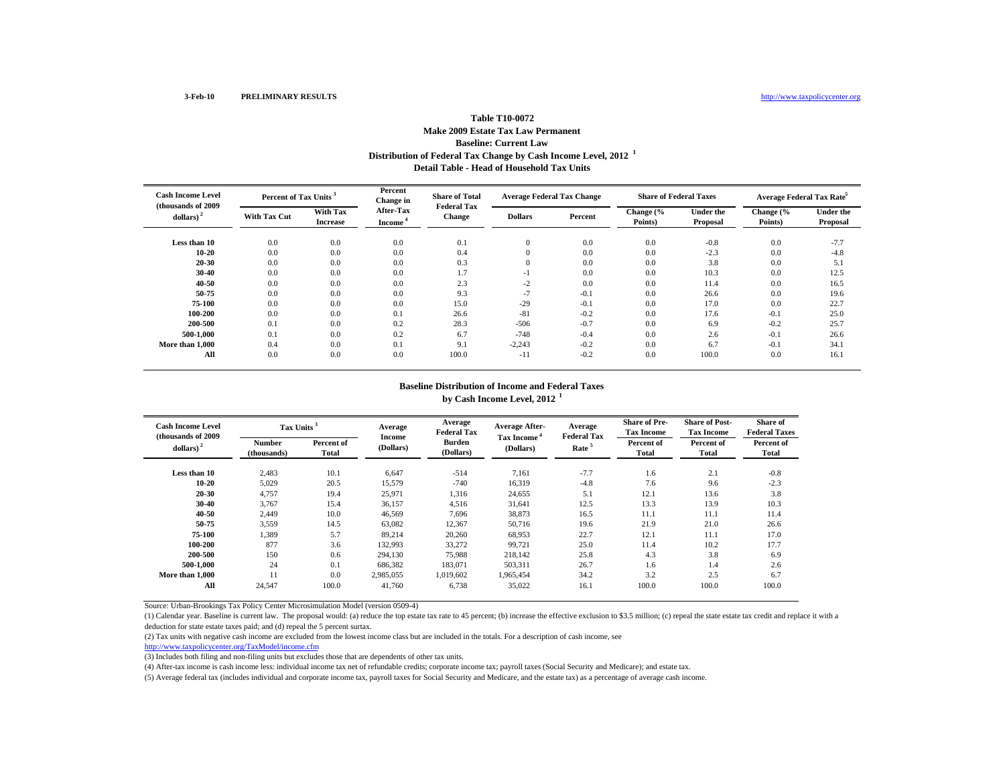### **Distribution of Federal Tax Change by Cash Income Level, 2012 <sup>1</sup> Detail Table - Head of Household Tax UnitsTable T10-0072Make 2009 Estate Tax Law Permanent Baseline: Current Law**

| <b>Cash Income Level</b><br>(thousands of 2009) |              | Percent of Tax Units <sup>3</sup> |                                         | <b>Share of Total</b><br><b>Federal Tax</b> | <b>Average Federal Tax Change</b> |         | <b>Share of Federal Taxes</b> |                              | Average Federal Tax Rate <sup>5</sup> |                              |
|-------------------------------------------------|--------------|-----------------------------------|-----------------------------------------|---------------------------------------------|-----------------------------------|---------|-------------------------------|------------------------------|---------------------------------------|------------------------------|
| dollars) $^{2}$                                 | With Tax Cut | With Tax<br><b>Increase</b>       | <b>After-Tax</b><br>Income <sup>®</sup> | Change                                      | <b>Dollars</b>                    | Percent | Change (%<br>Points)          | <b>Under the</b><br>Proposal | Change (%<br>Points)                  | <b>Under the</b><br>Proposal |
| Less than 10                                    | 0.0          | 0.0                               | 0.0                                     | 0.1                                         | $\mathbf{0}$                      | 0.0     | 0.0                           | $-0.8$                       | 0.0                                   | $-7.7$                       |
| $10 - 20$                                       | 0.0          | 0.0                               | 0.0                                     | 0.4                                         | $\Omega$                          | 0.0     | 0.0                           | $-2.3$                       | 0.0                                   | $-4.8$                       |
| $20 - 30$                                       | 0.0          | 0.0                               | 0.0                                     | 0.3                                         | $\Omega$                          | 0.0     | 0.0                           | 3.8                          | 0.0                                   | 5.1                          |
| $30 - 40$                                       | 0.0          | 0.0                               | 0.0                                     | 1.7                                         | $-1$                              | 0.0     | 0.0                           | 10.3                         | 0.0                                   | 12.5                         |
| $40 - 50$                                       | 0.0          | 0.0                               | 0.0                                     | 2.3                                         | $-2$                              | 0.0     | 0.0                           | 11.4                         | 0.0                                   | 16.5                         |
| 50-75                                           | 0.0          | 0.0                               | 0.0                                     | 9.3                                         | $-7$                              | $-0.1$  | 0.0                           | 26.6                         | 0.0                                   | 19.6                         |
| 75-100                                          | 0.0          | 0.0                               | 0.0                                     | 15.0                                        | $-29$                             | $-0.1$  | 0.0                           | 17.0                         | 0.0                                   | 22.7                         |
| 100-200                                         | 0.0          | 0.0                               | 0.1                                     | 26.6                                        | $-81$                             | $-0.2$  | 0.0                           | 17.6                         | $-0.1$                                | 25.0                         |
| 200-500                                         | 0.1          | 0.0                               | 0.2                                     | 28.3                                        | $-506$                            | $-0.7$  | 0.0                           | 6.9                          | $-0.2$                                | 25.7                         |
| 500-1.000                                       | 0.1          | 0.0                               | 0.2                                     | 6.7                                         | $-748$                            | $-0.4$  | 0.0                           | 2.6                          | $-0.1$                                | 26.6                         |
| More than 1,000                                 | 0.4          | 0.0                               | 0.1                                     | 9.1                                         | $-2,243$                          | $-0.2$  | 0.0                           | 6.7                          | $-0.1$                                | 34.1                         |
| All                                             | 0.0          | 0.0                               | 0.0                                     | 100.0                                       | $-11$                             | $-0.2$  | 0.0                           | 100.0                        | 0.0                                   | 16.1                         |

#### **Baseline Distribution of Income and Federal Taxes by Cash Income Level, 2012 <sup>1</sup>**

| <b>Cash Income Level</b><br>(thousands of 2009) | Tax Units <sup>3</sup>       |                     | Average<br>Income   | Average<br><b>Federal Tax</b> | <b>Average After-</b>                | Average<br><b>Federal Tax</b> | <b>Share of Pre-</b><br><b>Tax Income</b> | <b>Share of Post-</b><br><b>Tax Income</b> | <b>Share of</b><br><b>Federal Taxes</b> |
|-------------------------------------------------|------------------------------|---------------------|---------------------|-------------------------------|--------------------------------------|-------------------------------|-------------------------------------------|--------------------------------------------|-----------------------------------------|
| dollars) $2$                                    | <b>Number</b><br>(thousands) | Percent of<br>Total | (Dollars)           | <b>Burden</b><br>(Dollars)    | Tax Income <sup>4</sup><br>(Dollars) | Rate <sup>5</sup>             | Percent of<br>Total                       | Percent of<br>Total                        | Percent of<br>Total                     |
| Less than 10                                    | 2,483                        | 10.1                | 6,647               | $-514$                        | 7,161                                | $-7.7$                        | 1.6                                       | 2.1                                        | $-0.8$                                  |
| 10-20<br>$20 - 30$                              | 5,029<br>4,757               | 20.5<br>19.4        | 15,579<br>25,971    | $-740$<br>1,316               | 16,319<br>24,655                     | $-4.8$<br>5.1                 | 7.6<br>12.1                               | 9.6<br>13.6                                | $-2.3$<br>3.8                           |
| $30 - 40$                                       | 3,767                        | 15.4                | 36,157              | 4,516                         | 31,641                               | 12.5                          | 13.3                                      | 13.9                                       | 10.3                                    |
| 40-50<br>50-75                                  | 2,449<br>3,559               | 10.0<br>14.5        | 46,569<br>63,082    | 7,696<br>12,367               | 38,873<br>50,716                     | 16.5<br>19.6                  | 11.1<br>21.9                              | 11.1<br>21.0                               | 11.4<br>26.6                            |
| 75-100                                          | 1.389                        | 5.7                 | 89.214              | 20,260                        | 68.953                               | 22.7                          | 12.1                                      | 11.1                                       | 17.0                                    |
| 100-200<br>200-500                              | 877<br>150                   | 3.6<br>0.6          | 132,993<br>294,130  | 33,272<br>75,988              | 99.721<br>218,142                    | 25.0<br>25.8                  | 11.4<br>4.3                               | 10.2<br>3.8                                | 17.7<br>6.9                             |
| 500-1.000                                       | 24                           | 0.1                 | 686,382             | 183,071                       | 503,311                              | 26.7                          | 1.6                                       | 1.4                                        | 2.6                                     |
| More than 1,000<br>All                          | 11<br>24,547                 | 0.0<br>100.0        | 2,985,055<br>41,760 | 1,019,602<br>6.738            | 1,965,454<br>35,022                  | 34.2<br>16.1                  | 3.2<br>100.0                              | 2.5<br>100.0                               | 6.7<br>100.0                            |

Source: Urban-Brookings Tax Policy Center Microsimulation Model (version 0509-4)

(1) Calendar year. Baseline is current law. The proposal would: (a) reduce the top estate tax rate to 45 percent; (b) increase the effective exclusion to \$3.5 million; (c) repeal the state estate tax credit and replace it deduction for state estate taxes paid; and (d) repeal the 5 percent surtax.

(2) Tax units with negative cash income are excluded from the lowest income class but are included in the totals. For a description of cash income, see

http://www.taxpolicycenter.org/TaxModel/income.cfm

(3) Includes both filing and non-filing units but excludes those that are dependents of other tax units.

(4) After-tax income is cash income less: individual income tax net of refundable credits; corporate income tax; payroll taxes (Social Security and Medicare); and estate tax.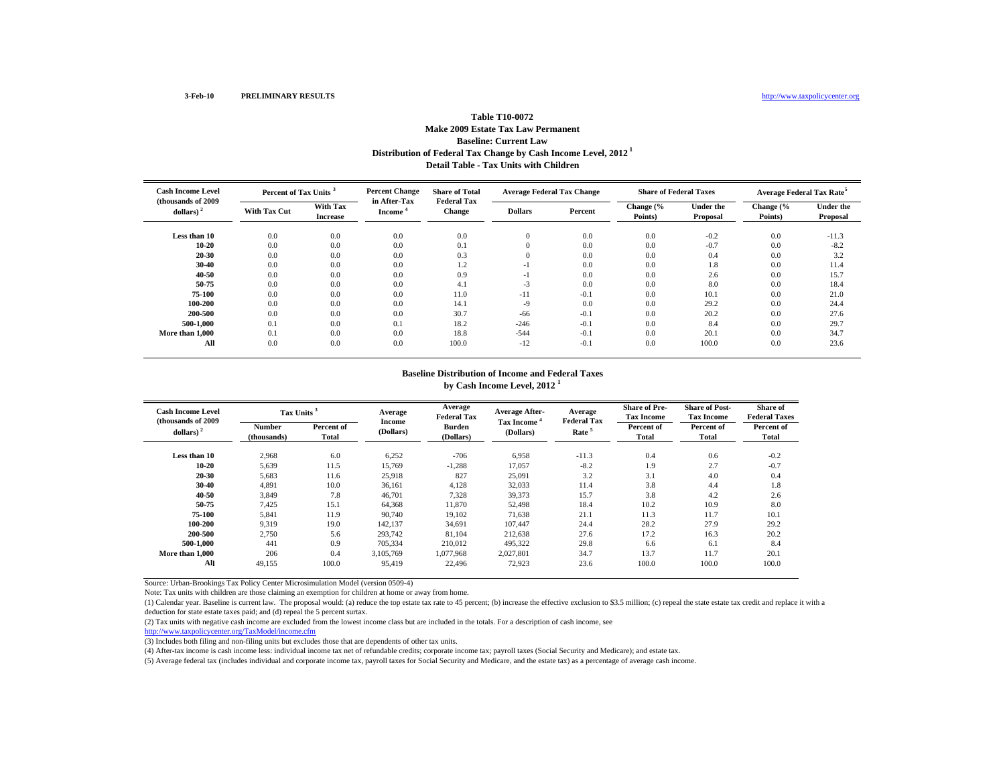# **Distribution of Federal Tax Change by Cash Income Level, 2012 1 Detail Table - Tax Units with Children Table T10-0072 Make 2009 Estate Tax Law Permanent Baseline: Current Law**

| <b>Cash Income Level</b><br>(thousands of 2009) | Percent of Tax Units <sup>3</sup> |                             | <b>Percent Change</b><br>in After-Tax | <b>Share of Total</b><br><b>Federal Tax</b> | <b>Average Federal Tax Change</b> |         | <b>Share of Federal Taxes</b> |                              | Average Federal Tax Rate <sup>5</sup> |                              |
|-------------------------------------------------|-----------------------------------|-----------------------------|---------------------------------------|---------------------------------------------|-----------------------------------|---------|-------------------------------|------------------------------|---------------------------------------|------------------------------|
| dollars) $2$                                    | <b>With Tax Cut</b>               | With Tax<br><b>Increase</b> | Income <sup>®</sup>                   | <b>Change</b>                               | <b>Dollars</b>                    | Percent | Change (%<br>Points)          | <b>Under the</b><br>Proposal | Change (%<br>Points)                  | <b>Under the</b><br>Proposal |
| Less than 10                                    | 0.0                               | 0.0                         | 0.0                                   | 0.0                                         | 0                                 | 0.0     | 0.0                           | $-0.2$                       | 0.0                                   | $-11.3$                      |
| 10-20                                           | 0.0                               | 0.0                         | 0.0                                   | 0.1                                         | 0                                 | 0.0     | 0.0                           | $-0.7$                       | 0.0                                   | $-8.2$                       |
| 20-30                                           | 0.0                               | 0.0                         | 0.0                                   | 0.3                                         | 0                                 | 0.0     | 0.0                           | 0.4                          | 0.0                                   | 3.2                          |
| 30-40                                           | 0.0                               | 0.0                         | 0.0                                   | 1.2                                         | -1                                | 0.0     | 0.0                           | 1.8                          | 0.0                                   | 11.4                         |
| 40-50                                           | 0.0                               | 0.0                         | 0.0                                   | 0.9                                         | -1                                | 0.0     | 0.0                           | 2.6                          | 0.0                                   | 15.7                         |
| 50-75                                           | 0.0                               | 0.0                         | 0.0                                   | 4.1                                         | $-3$                              | 0.0     | 0.0                           | 8.0                          | 0.0                                   | 18.4                         |
| 75-100                                          | 0.0                               | 0.0                         | 0.0                                   | 11.0                                        | $-11$                             | $-0.1$  | 0.0                           | 10.1                         | 0.0                                   | 21.0                         |
| 100-200                                         | 0.0                               | 0.0                         | 0.0                                   | 14.1                                        | $-9$                              | 0.0     | 0.0                           | 29.2                         | 0.0                                   | 24.4                         |
| 200-500                                         | 0.0                               | 0.0                         | 0.0                                   | 30.7                                        | $-66$                             | $-0.1$  | 0.0                           | 20.2                         | 0.0                                   | 27.6                         |
| 500-1.000                                       | 0.1                               | 0.0                         | 0.1                                   | 18.2                                        | $-246$                            | $-0.1$  | 0.0                           | 8.4                          | 0.0                                   | 29.7                         |
| More than 1.000                                 | 0.1                               | 0.0                         | 0.0                                   | 18.8                                        | $-544$                            | $-0.1$  | 0.0                           | 20.1                         | 0.0                                   | 34.7                         |
| All                                             | 0.0                               | 0.0                         | 0.0                                   | 100.0                                       | $-12$                             | $-0.1$  | 0.0                           | 100.0                        | 0.0                                   | 23.6                         |

#### **Baseline Distribution of Income and Federal Taxes by Cash Income Level, 2012 <sup>1</sup>**

| <b>Cash Income Level</b><br>(thousands of 2009) | Tax Units <sup>3</sup>       |                     | Average             | Average<br><b>Federal Tax</b> | <b>Average After-</b><br>Tax Income | Average<br><b>Federal Tax</b> | <b>Share of Pre-</b><br><b>Tax Income</b> | <b>Share of Post-</b><br><b>Tax Income</b> | <b>Share of</b><br><b>Federal Taxes</b> |
|-------------------------------------------------|------------------------------|---------------------|---------------------|-------------------------------|-------------------------------------|-------------------------------|-------------------------------------------|--------------------------------------------|-----------------------------------------|
| dollars) $2$                                    | <b>Number</b><br>(thousands) | Percent of<br>Total | Income<br>(Dollars) | <b>Burden</b><br>(Dollars)    | (Dollars)                           | Rate <sup>5</sup>             | Percent of<br>Total                       | Percent of<br>Total                        | Percent of<br>Total                     |
| Less than 10                                    | 2,968                        | 6.0                 | 6,252               | $-706$                        | 6,958                               | $-11.3$                       | 0.4                                       | 0.6                                        | $-0.2$                                  |
| $10 - 20$                                       | 5,639                        | 11.5                | 15,769              | $-1,288$                      | 17,057                              | $-8.2$                        | 1.9                                       | 2.7                                        | $-0.7$                                  |
| 20-30                                           | 5,683                        | 11.6                | 25,918              | 827                           | 25,091                              | 3.2                           | 3.1                                       | 4.0                                        | 0.4                                     |
| 30-40                                           | 4,891                        | 10.0                | 36,161              | 4,128                         | 32,033                              | 11.4                          | 3.8                                       | 4.4                                        | 1.8                                     |
| 40-50                                           | 3,849                        | 7.8                 | 46,701              | 7,328                         | 39,373                              | 15.7                          | 3.8                                       | 4.2                                        | 2.6                                     |
| 50-75                                           | 7,425                        | 15.1                | 64,368              | 11,870                        | 52,498                              | 18.4                          | 10.2                                      | 10.9                                       | 8.0                                     |
| 75-100                                          | 5,841                        | 11.9                | 90,740              | 19,102                        | 71,638                              | 21.1                          | 11.3                                      | 11.7                                       | 10.1                                    |
| 100-200                                         | 9,319                        | 19.0                | 142,137             | 34,691                        | 107.447                             | 24.4                          | 28.2                                      | 27.9                                       | 29.2                                    |
| 200-500                                         | 2,750                        | 5.6                 | 293,742             | 81,104                        | 212,638                             | 27.6                          | 17.2                                      | 16.3                                       | 20.2                                    |
| 500-1.000                                       | 441                          | 0.9                 | 705,334             | 210,012                       | 495.322                             | 29.8                          | 6.6                                       | 6.1                                        | 8.4                                     |
| More than 1.000                                 | 206                          | 0.4                 | 3.105.769           | 1.077.968                     | 2.027.801                           | 34.7                          | 13.7                                      | 11.7                                       | 20.1                                    |
| All                                             | 49,155                       | 100.0               | 95,419              | 22,496                        | 72,923                              | 23.6                          | 100.0                                     | 100.0                                      | 100.0                                   |

Source: Urban-Brookings Tax Policy Center Microsimulation Model (version 0509-4)

Note: Tax units with children are those claiming an exemption for children at home or away from home.

(1) Calendar year. Baseline is current law. The proposal would: (a) reduce the top estate tax rate to 45 percent; (b) increase the effective exclusion to \$3.5 million; (c) repeal the state estate tax credit and replace it deduction for state estate taxes paid; and (d) repeal the 5 percent surtax.

(2) Tax units with negative cash income are excluded from the lowest income class but are included in the totals. For a description of cash income, see

http://www.taxpolicycenter.org/TaxModel/income.cfm

(3) Includes both filing and non-filing units but excludes those that are dependents of other tax units.

(4) After-tax income is cash income less: individual income tax net of refundable credits; corporate income tax; payroll taxes (Social Security and Medicare); and estate tax.